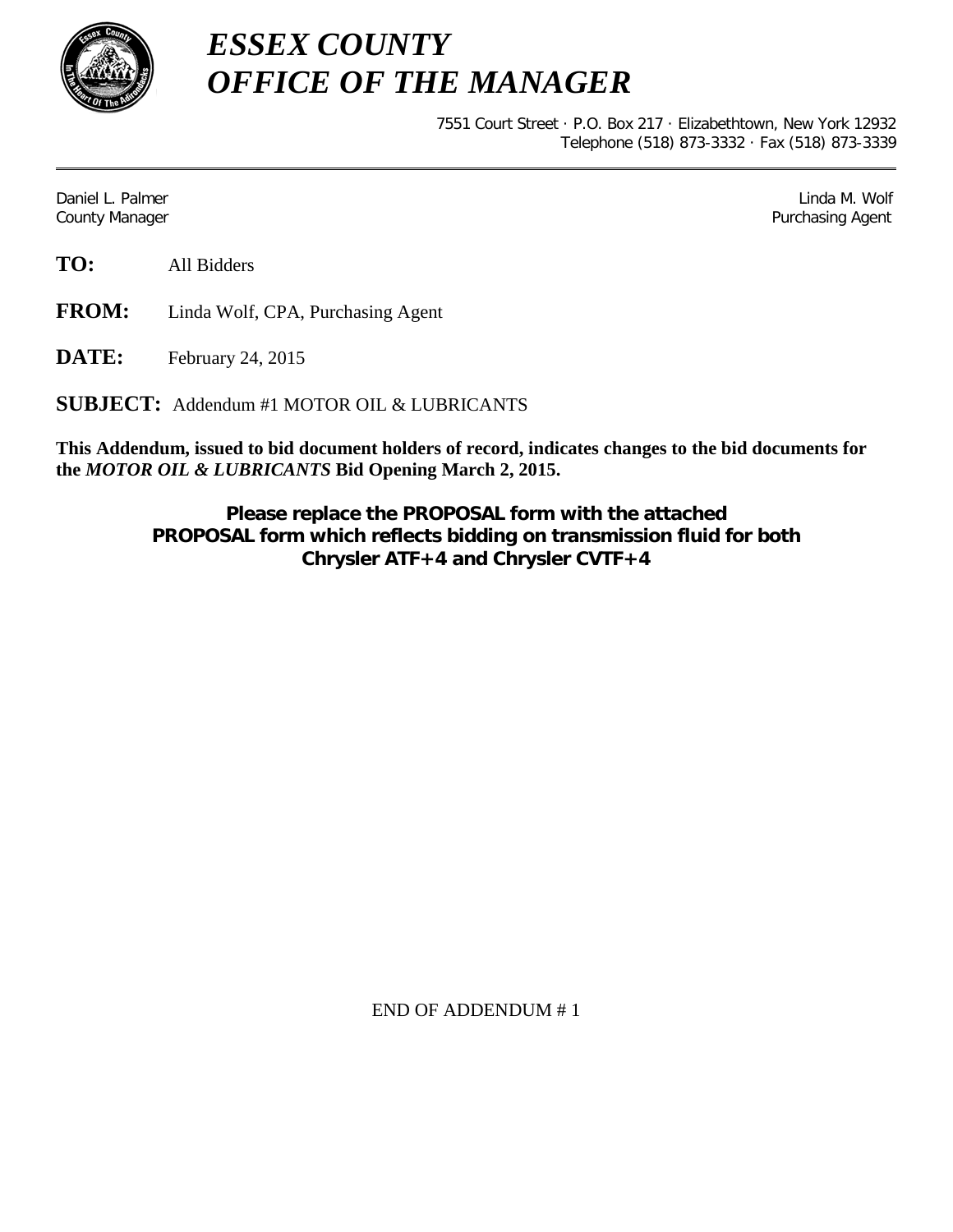

*ESSEX COUNTY OFFICE OF THE MANAGER*

> 7551 Court Street · P.O. Box 217 · Elizabethtown, New York 12932 Telephone (518) 873-3332 · Fax (518) 873-3339

Daniel L. Palmer Later and the control of the control of the control of the control of the control of the control of the control of the control of the control of the control of the control of the control of the control of County Manager Purchasing Agent

**TO:** All Bidders

**FROM:** Linda Wolf, CPA, Purchasing Agent

**DATE:** February 24, 2015

**SUBJECT:** Addendum #1 MOTOR OIL & LUBRICANTS

**This Addendum, issued to bid document holders of record, indicates changes to the bid documents for the** *MOTOR OIL & LUBRICANTS* **Bid Opening March 2, 2015.**

> **Please replace the PROPOSAL form with the attached PROPOSAL form which reflects bidding on transmission fluid for both Chrysler ATF+4 and Chrysler CVTF+4**

> > END OF ADDENDUM # 1